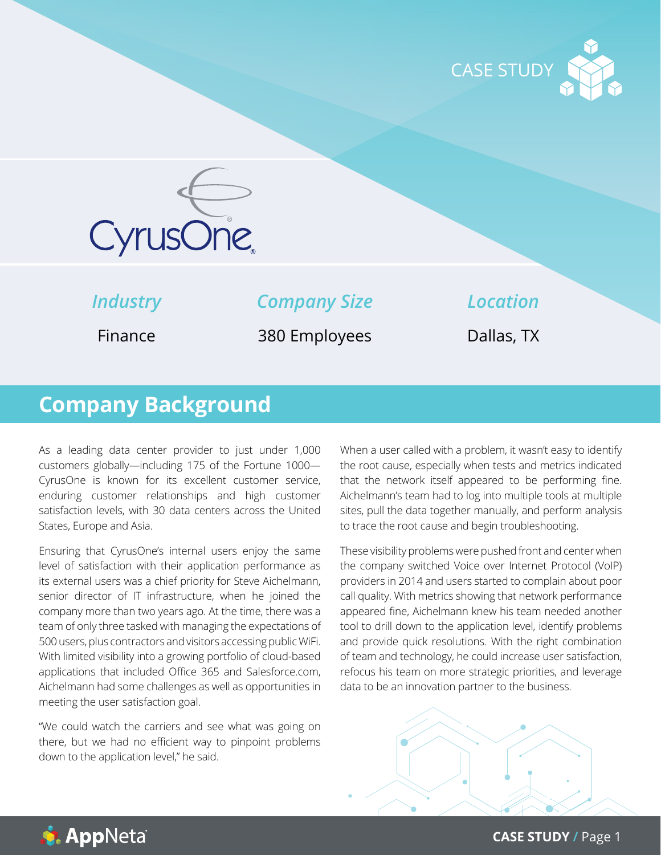



*Industry*

*Company Size*

*Location*

Finance

380 Employees

Dallas, TX

# **Company Background**

As a leading data center provider to just under 1,000 customers globally—including 175 of the Fortune 1000— CyrusOne is known for its excellent customer service, enduring customer relationships and high customer satisfaction levels, with 30 data centers across the United States, Europe and Asia.

Ensuring that CyrusOne's internal users enjoy the same level of satisfaction with their application performance as its external users was a chief priority for Steve Aichelmann, senior director of IT infrastructure, when he joined the company more than two years ago. At the time, there was a team of only three tasked with managing the expectations of 500 users, plus contractors and visitors accessing public WiFi. With limited visibility into a growing portfolio of cloud-based applications that included Office 365 and Salesforce.com, Aichelmann had some challenges as well as opportunities in meeting the user satisfaction goal.

"We could watch the carriers and see what was going on there, but we had no efficient way to pinpoint problems down to the application level," he said.

When a user called with a problem, it wasn't easy to identify the root cause, especially when tests and metrics indicated that the network itself appeared to be performing fine. Aichelmann's team had to log into multiple tools at multiple sites, pull the data together manually, and perform analysis to trace the root cause and begin troubleshooting.

These visibility problems were pushed front and center when the company switched Voice over Internet Protocol (VoIP) providers in 2014 and users started to complain about poor call quality. With metrics showing that network performance appeared fine, Aichelmann knew his team needed another tool to drill down to the application level, identify problems and provide quick resolutions. With the right combination of team and technology, he could increase user satisfaction, refocus his team on more strategic priorities, and leverage data to be an innovation partner to the business.





**CASE STUDY /** Page 1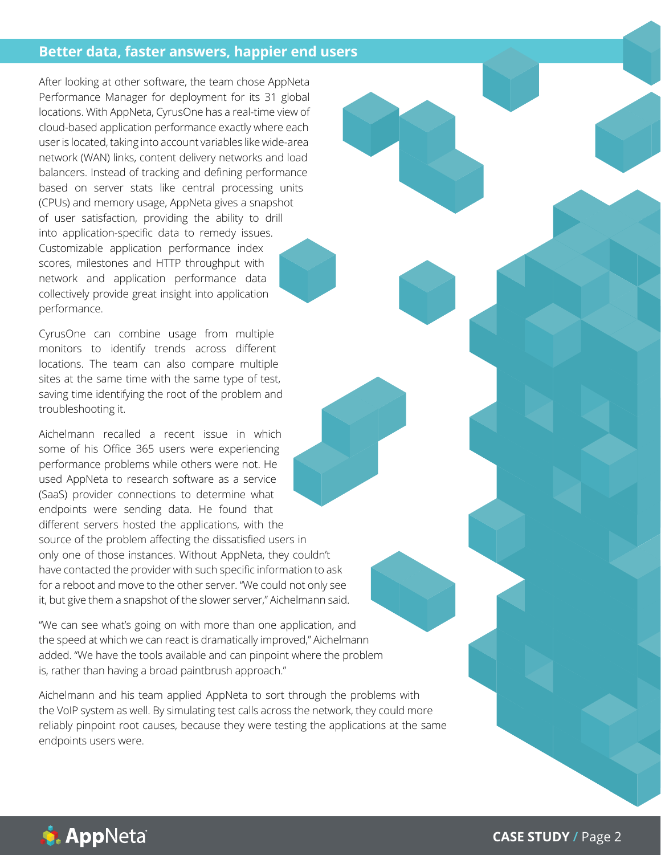#### **Better data, faster answers, happier end users**

After looking at other software, the team chose AppNeta Performance Manager for deployment for its 31 global locations. With AppNeta, CyrusOne has a real-time view of cloud-based application performance exactly where each user is located, taking into account variables like wide-area network (WAN) links, content delivery networks and load balancers. Instead of tracking and defining performance based on server stats like central processing units (CPUs) and memory usage, AppNeta gives a snapshot of user satisfaction, providing the ability to drill into application-specific data to remedy issues. Customizable application performance index scores, milestones and HTTP throughput with network and application performance data collectively provide great insight into application performance.

CyrusOne can combine usage from multiple monitors to identify trends across different locations. The team can also compare multiple sites at the same time with the same type of test, saving time identifying the root of the problem and troubleshooting it.

Aichelmann recalled a recent issue in which some of his Office 365 users were experiencing performance problems while others were not. He used AppNeta to research software as a service (SaaS) provider connections to determine what endpoints were sending data. He found that different servers hosted the applications, with the source of the problem affecting the dissatisfied users in only one of those instances. Without AppNeta, they couldn't have contacted the provider with such specific information to ask for a reboot and move to the other server. "We could not only see it, but give them a snapshot of the slower server," Aichelmann said.

"We can see what's going on with more than one application, and the speed at which we can react is dramatically improved," Aichelmann added. "We have the tools available and can pinpoint where the problem is, rather than having a broad paintbrush approach."

Aichelmann and his team applied AppNeta to sort through the problems with the VoIP system as well. By simulating test calls across the network, they could more reliably pinpoint root causes, because they were testing the applications at the same endpoints users were.